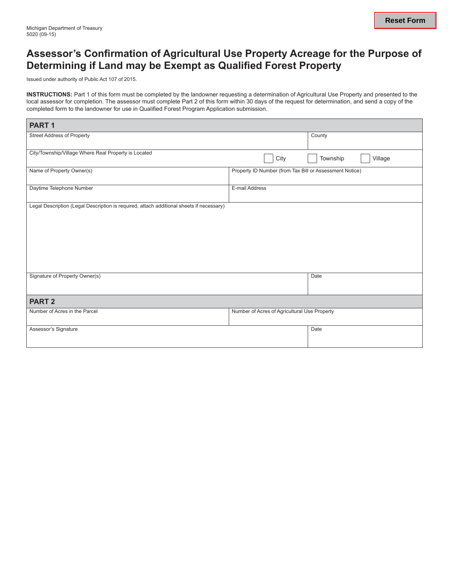### **Assessor's Confirmation of Agricultural Use Property Acreage for the Purpose of Determining if Land may be Exempt as Qualified Forest Property**

Issued under authority of Public Act 107 of 2015.

**Instructions:** Part 1 of this form must be completed by the landowner requesting a determination of Agricultural Use Property and presented to the local assessor for completion. The assessor must complete Part 2 of this form within 30 days of the request for determination, and send a copy of the completed form to the landowner for use in Qualified Forest Program Application submission.

| PART <sub>1</sub>                                                                        |                                                         |                     |
|------------------------------------------------------------------------------------------|---------------------------------------------------------|---------------------|
| <b>Street Address of Property</b>                                                        |                                                         | County              |
| City/Township/Village Where Real Property is Located                                     | City                                                    | Township<br>Village |
| Name of Property Owner(s)                                                                | Property ID Number (from Tax Bill or Assessment Notice) |                     |
| Daytime Telephone Number                                                                 | E-mail Address                                          |                     |
| Legal Description (Legal Description is required, attach additional sheets if necessary) |                                                         |                     |
|                                                                                          |                                                         |                     |
|                                                                                          |                                                         |                     |
|                                                                                          |                                                         |                     |
|                                                                                          |                                                         |                     |
| Signature of Property Owner(s)                                                           |                                                         | Date                |
|                                                                                          |                                                         |                     |
| <b>PART 2</b>                                                                            |                                                         |                     |
| Number of Acres in the Parcel                                                            | Number of Acres of Agricultural Use Property            |                     |
| Assessor's Signature                                                                     |                                                         | Date                |
|                                                                                          |                                                         |                     |